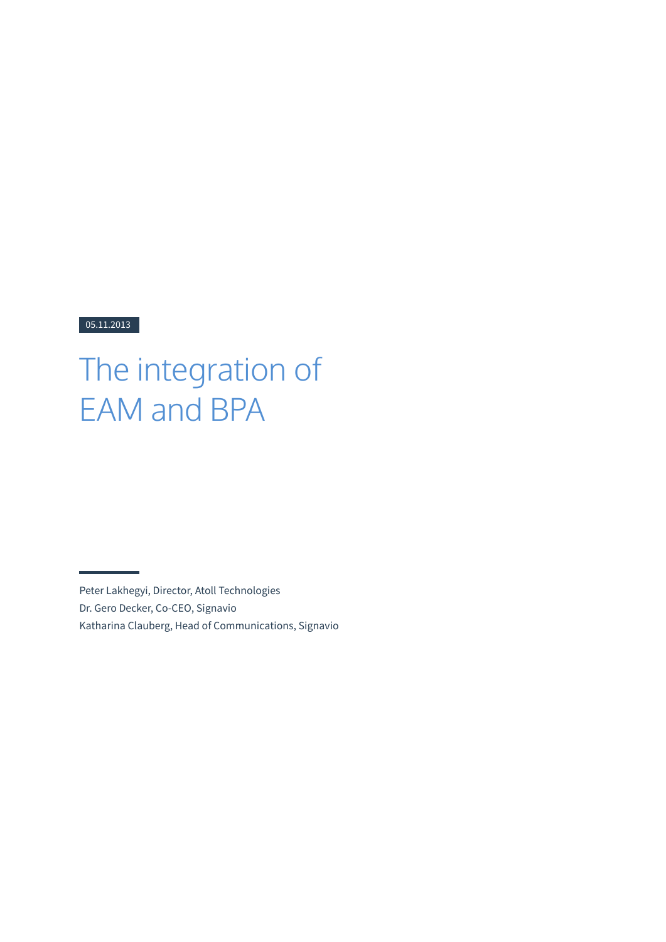#### 05.11.2013

# The integration of EAM and BPA

Peter Lakhegyi, Director, Atoll Technologies Dr. Gero Decker, Co-CEO, Signavio Katharina Clauberg, Head of Communications, Signavio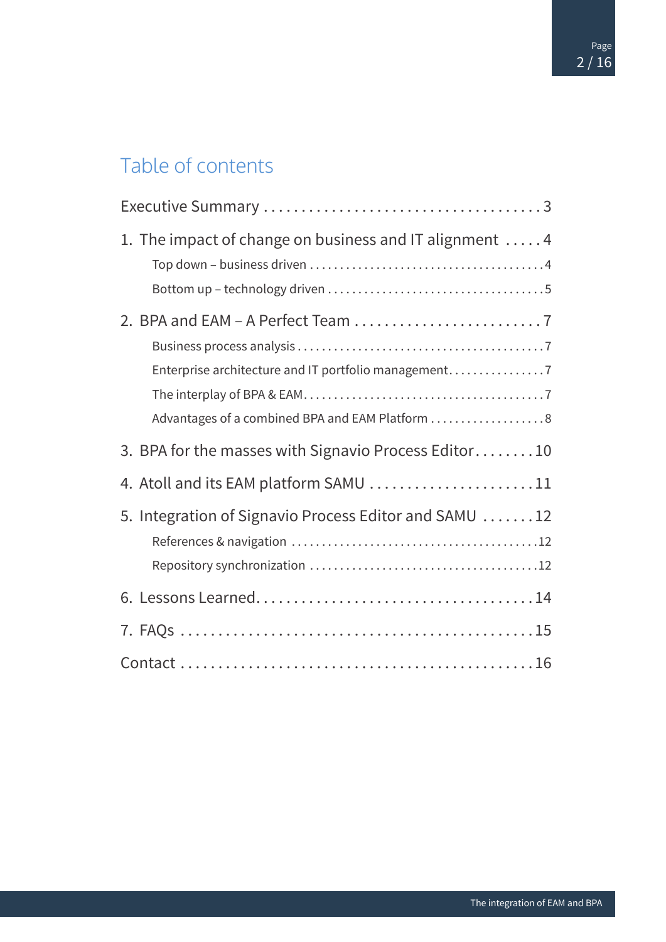# Table of contents

| 1. The impact of change on business and IT alignment 4                                                  |
|---------------------------------------------------------------------------------------------------------|
| Enterprise architecture and IT portfolio management<br>Advantages of a combined BPA and EAM Platform  8 |
| 3. BPA for the masses with Signavio Process Editor10                                                    |
| 4. Atoll and its EAM platform SAMU 11                                                                   |
| 5. Integration of Signavio Process Editor and SAMU 12                                                   |
|                                                                                                         |
|                                                                                                         |
|                                                                                                         |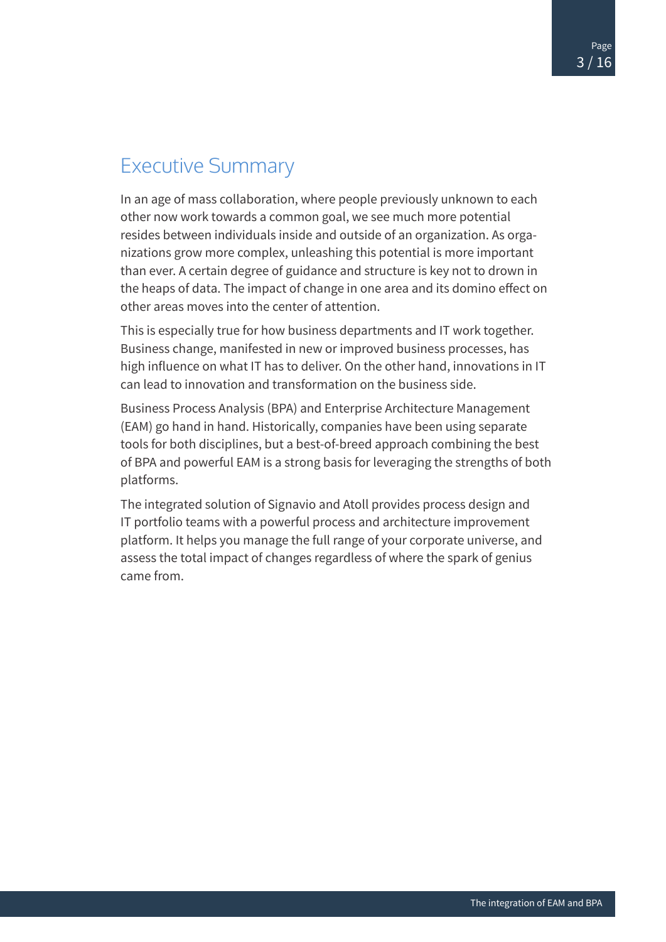## <span id="page-2-0"></span>Executive Summary

In an age of mass collaboration, where people previously unknown to each other now work towards a common goal, we see much more potential resides between individuals inside and outside of an organization. As organizations grow more complex, unleashing this potential is more important than ever. A certain degree of guidance and structure is key not to drown in the heaps of data. The impact of change in one area and its domino effect on other areas moves into the center of attention.

This is especially true for how business departments and IT work together. Business change, manifested in new or improved business processes, has high influence on what IT has to deliver. On the other hand, innovations in IT can lead to innovation and transformation on the business side.

Business Process Analysis (BPA) and Enterprise Architecture Management (EAM) go hand in hand. Historically, companies have been using separate tools for both disciplines, but a best-of-breed approach combining the best of BPA and powerful EAM is a strong basis for leveraging the strengths of both platforms.

The integrated solution of Signavio and Atoll provides process design and IT portfolio teams with a powerful process and architecture improvement platform. It helps you manage the full range of your corporate universe, and assess the total impact of changes regardless of where the spark of genius came from.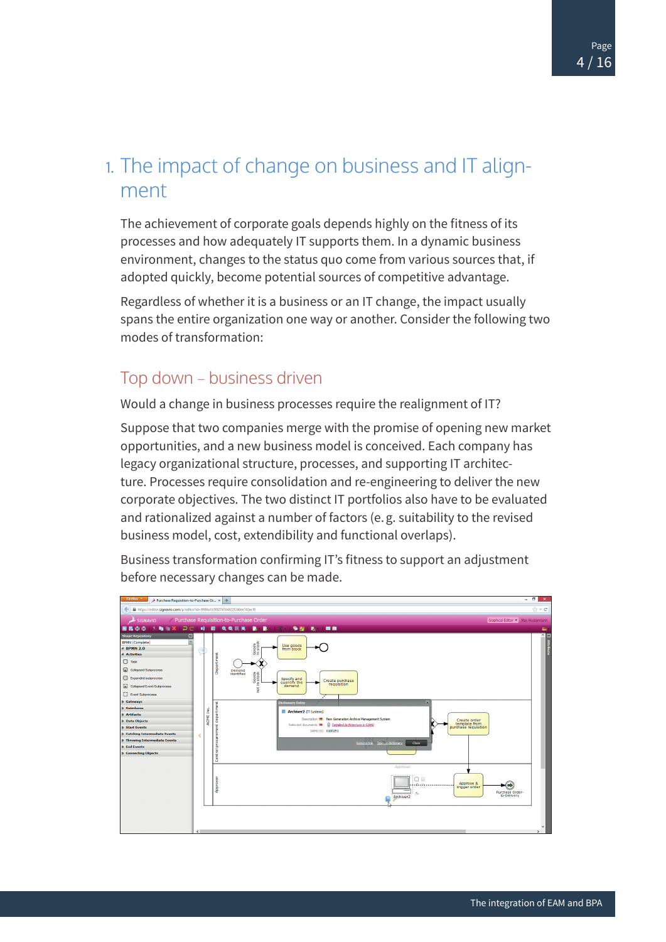### <span id="page-3-0"></span>1. The impact of change on business and IT alignment

The achievement of corporate goals depends highly on the fitness of its processes and how adequately IT supports them. In a dynamic business environment, changes to the status quo come from various sources that, if adopted quickly, become potential sources of competitive advantage.

Regardless of whether it is a business or an IT change, the impact usually spans the entire organization one way or another. Consider the following two modes of transformation:

#### Top down – business driven

Would a change in business processes require the realignment of IT?

Suppose that two companies merge with the promise of opening new market opportunities, and a new business model is conceived. Each company has legacy organizational structure, processes, and supporting IT architecture. Processes require consolidation and re-engineering to deliver the new corporate objectives. The two distinct IT portfolios also have to be evaluated and rationalized against a number of factors (e.g. suitability to the revised business model, cost, extendibility and functional overlaps).

Business transformation confirming IT's fitness to support an adjustment before necessary changes can be made.

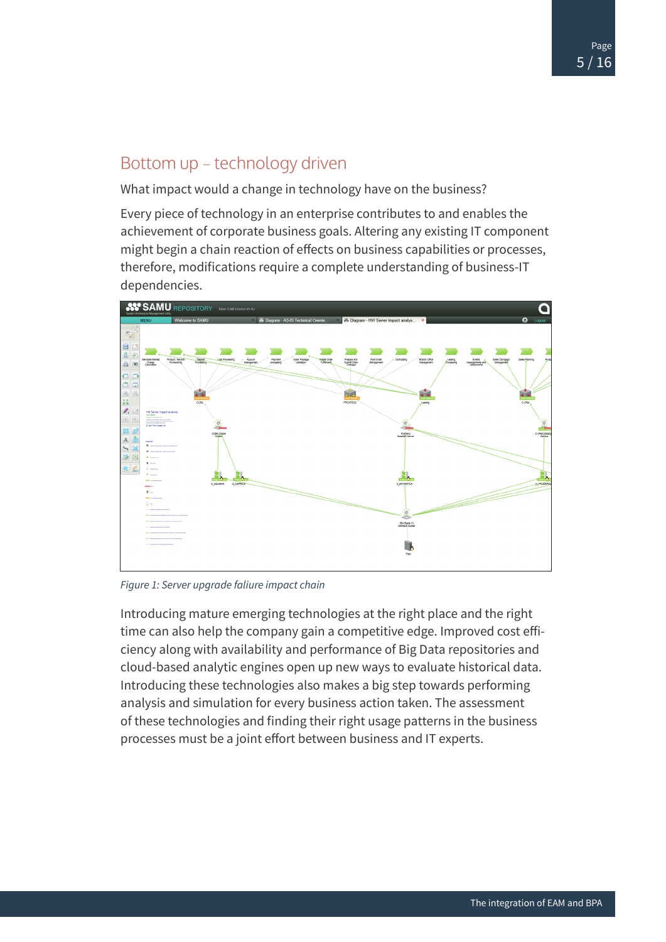#### <span id="page-4-0"></span>Bottom up – technology driven

What impact would a change in technology have on the business?

Every piece of technology in an enterprise contributes to and enables the achievement of corporate business goals. Altering any existing IT component might begin a chain reaction of effects on business capabilities or processes, therefore, modifications require a complete understanding of business-IT dependencies.



*Figure 1: Server upgrade faliure impact chain*

Introducing mature emerging technologies at the right place and the right time can also help the company gain a competitive edge. Improved cost efficiency along with availability and performance of Big Data repositories and cloud-based analytic engines open up new ways to evaluate historical data. Introducing these technologies also makes a big step towards performing analysis and simulation for every business action taken. The assessment of these technologies and finding their right usage patterns in the business processes must be a joint effort between business and IT experts.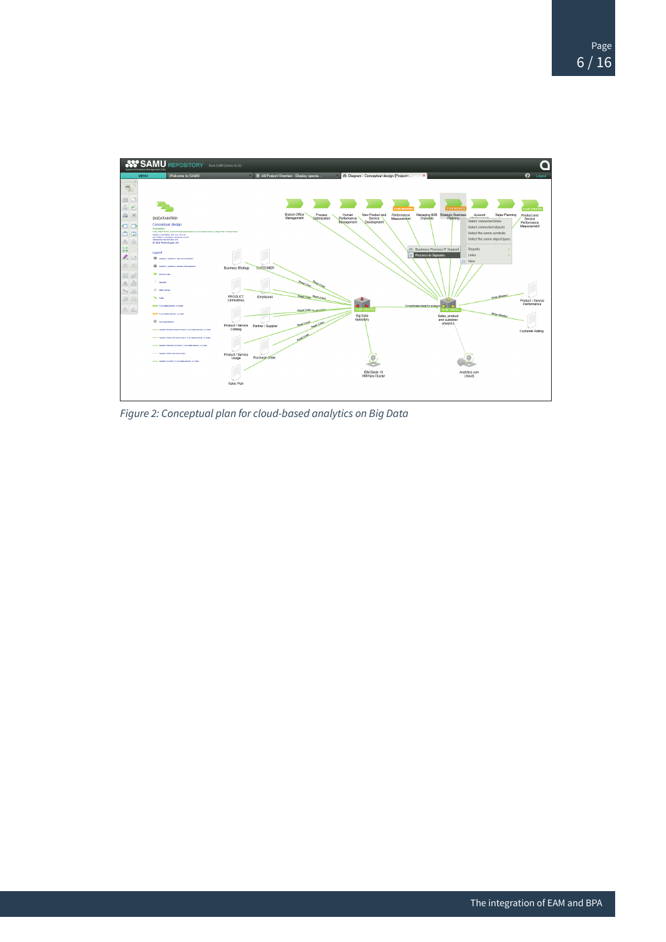

*Figure 2: Conceptual plan for cloud-based analytics on Big Data*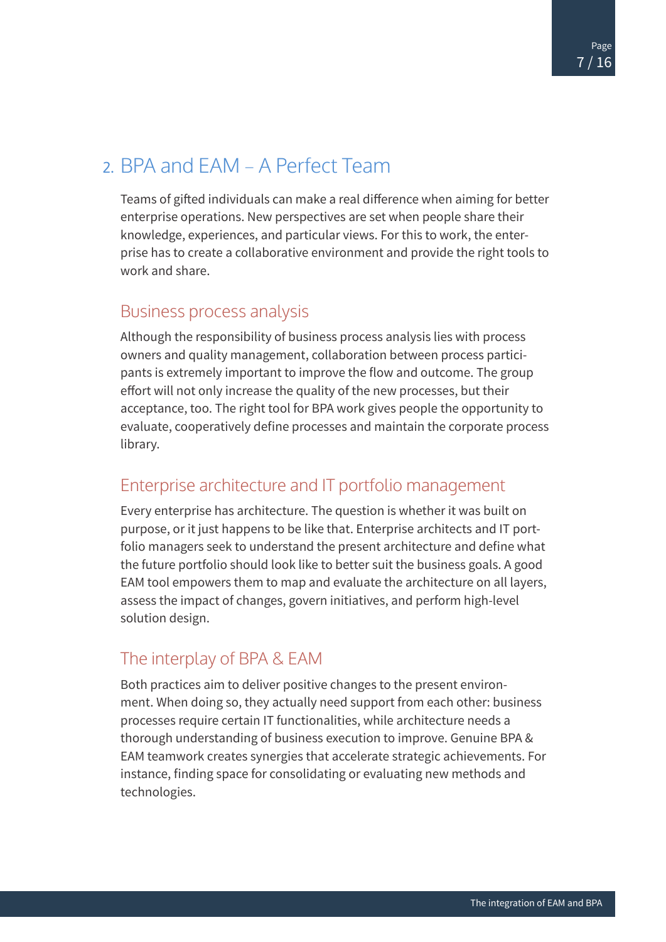# <span id="page-6-0"></span>2. BPA and EAM – A Perfect Team

Teams of gifted individuals can make a real difference when aiming for better enterprise operations. New perspectives are set when people share their knowledge, experiences, and particular views. For this to work, the enterprise has to create a collaborative environment and provide the right tools to work and share.

#### Business process analysis

Although the responsibility of business process analysis lies with process owners and quality management, collaboration between process participants is extremely important to improve the flow and outcome. The group effort will not only increase the quality of the new processes, but their acceptance, too. The right tool for BPA work gives people the opportunity to evaluate, cooperatively define processes and maintain the corporate process library.

#### Enterprise architecture and IT portfolio management

Every enterprise has architecture. The question is whether it was built on purpose, or it just happens to be like that. Enterprise architects and IT portfolio managers seek to understand the present architecture and define what the future portfolio should look like to better suit the business goals. A good EAM tool empowers them to map and evaluate the architecture on all layers, assess the impact of changes, govern initiatives, and perform high-level solution design.

#### The interplay of BPA & EAM

Both practices aim to deliver positive changes to the present environment. When doing so, they actually need support from each other: business processes require certain IT functionalities, while architecture needs a thorough understanding of business execution to improve. Genuine BPA & EAM teamwork creates synergies that accelerate strategic achievements. For instance, finding space for consolidating or evaluating new methods and technologies.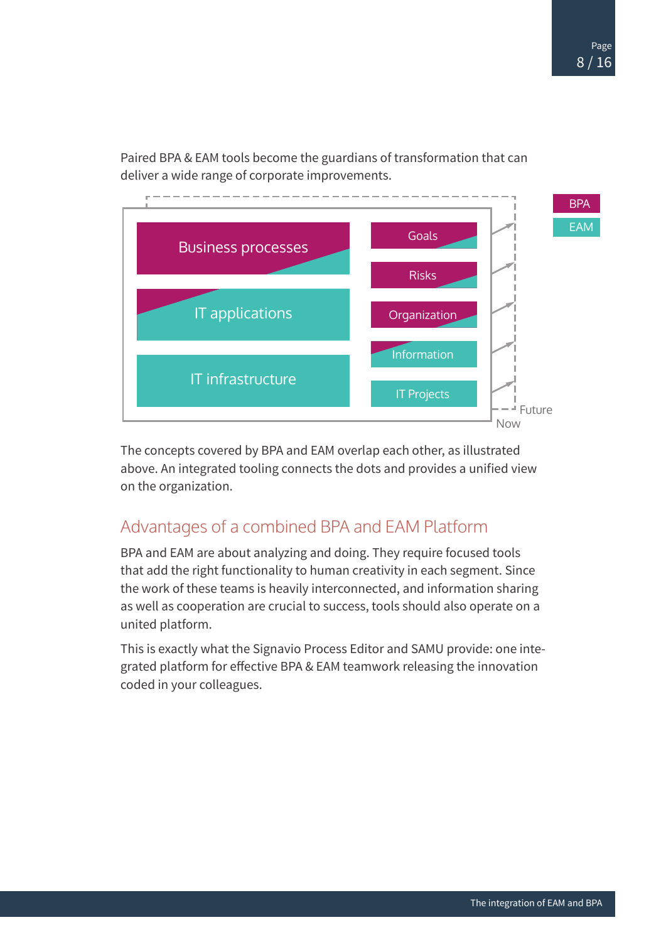<span id="page-7-0"></span>Paired BPA & EAM tools become the guardians of transformation that can deliver a wide range of corporate improvements.



The concepts covered by BPA and EAM overlap each other, as illustrated above. An integrated tooling connects the dots and provides a unified view on the organization.

#### Advantages of a combined BPA and EAM Platform

BPA and EAM are about analyzing and doing. They require focused tools that add the right functionality to human creativity in each segment. Since the work of these teams is heavily interconnected, and information sharing as well as cooperation are crucial to success, tools should also operate on a united platform.

This is exactly what the Signavio Process Editor and SAMU provide: one integrated platform for effective BPA & EAM teamwork releasing the innovation coded in your colleagues.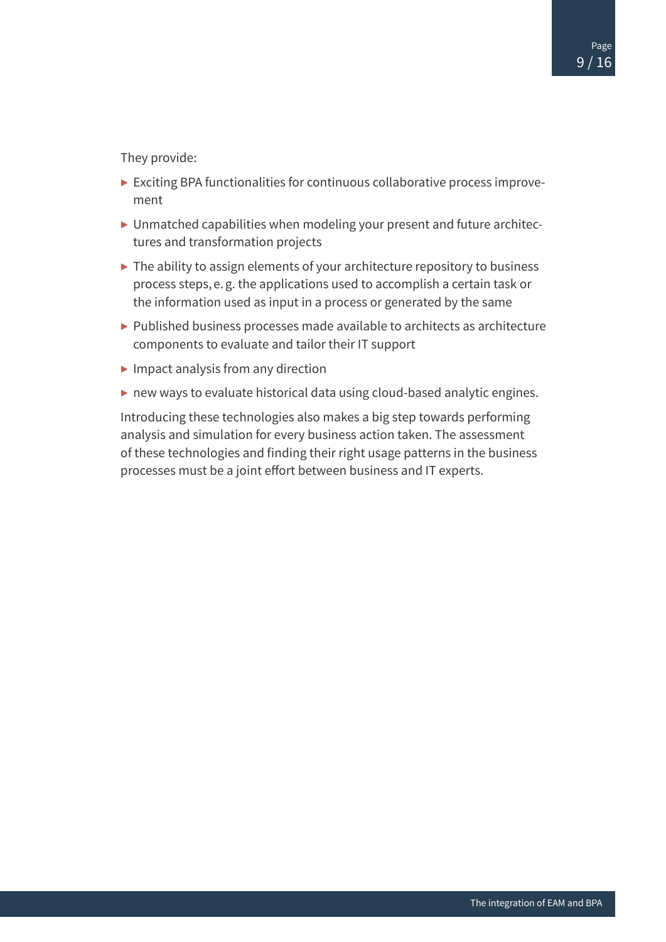They provide:

- ▶ Exciting BPA functionalities for continuous collaborative process improvement
- ▶ Unmatched capabilities when modeling your present and future architectures and transformation projects
- ▶ The ability to assign elements of your architecture repository to business process steps, e.g. the applications used to accomplish a certain task or the information used as input in a process or generated by the same
- $\triangleright$  Published business processes made available to architects as architecture components to evaluate and tailor their IT support
- $\blacktriangleright$  Impact analysis from any direction
- ▶ new ways to evaluate historical data using cloud-based analytic engines.

Introducing these technologies also makes a big step towards performing analysis and simulation for every business action taken. The assessment of these technologies and finding their right usage patterns in the business processes must be a joint effort between business and IT experts.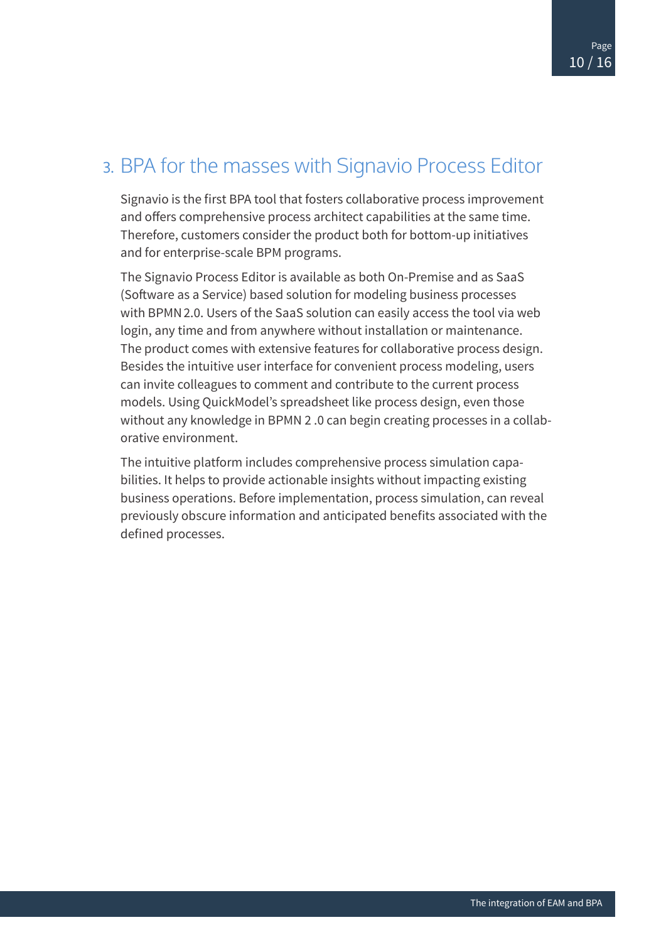# <span id="page-9-0"></span>3. BPA for the masses with Signavio Process Editor

Signavio is the first BPA tool that fosters collaborative process improvement and offers comprehensive process architect capabilities at the same time. Therefore, customers consider the product both for bottom-up initiatives and for enterprise-scale BPM programs.

The Signavio Process Editor is available as both On-Premise and as SaaS (Software as a Service) based solution for modeling business processes with BPMN2.0. Users of the SaaS solution can easily access the tool via web login, any time and from anywhere without installation or maintenance. The product comes with extensive features for collaborative process design. Besides the intuitive user interface for convenient process modeling, users can invite colleagues to comment and contribute to the current process models. Using QuickModel's spreadsheet like process design, even those without any knowledge in BPMN 2 .0 can begin creating processes in a collaborative environment.

The intuitive platform includes comprehensive process simulation capabilities. It helps to provide actionable insights without impacting existing business operations. Before implementation, process simulation, can reveal previously obscure information and anticipated benefits associated with the defined processes.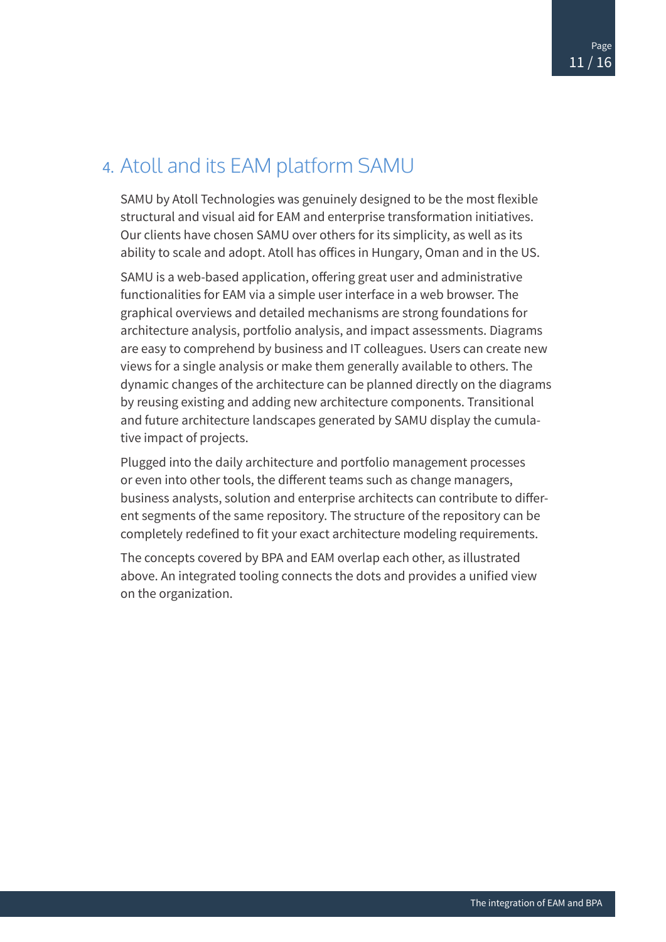### <span id="page-10-0"></span>4. Atoll and its EAM platform SAMU

SAMU by Atoll Technologies was genuinely designed to be the most flexible structural and visual aid for EAM and enterprise transformation initiatives. Our clients have chosen SAMU over others for its simplicity, as well as its ability to scale and adopt. Atoll has offices in Hungary, Oman and in the US.

SAMU is a web-based application, offering great user and administrative functionalities for EAM via a simple user interface in a web browser. The graphical overviews and detailed mechanisms are strong foundations for architecture analysis, portfolio analysis, and impact assessments. Diagrams are easy to comprehend by business and IT colleagues. Users can create new views for a single analysis or make them generally available to others. The dynamic changes of the architecture can be planned directly on the diagrams by reusing existing and adding new architecture components. Transitional and future architecture landscapes generated by SAMU display the cumulative impact of projects.

Plugged into the daily architecture and portfolio management processes or even into other tools, the different teams such as change managers, business analysts, solution and enterprise architects can contribute to different segments of the same repository. The structure of the repository can be completely redefined to fit your exact architecture modeling requirements.

The concepts covered by BPA and EAM overlap each other, as illustrated above. An integrated tooling connects the dots and provides a unified view on the organization.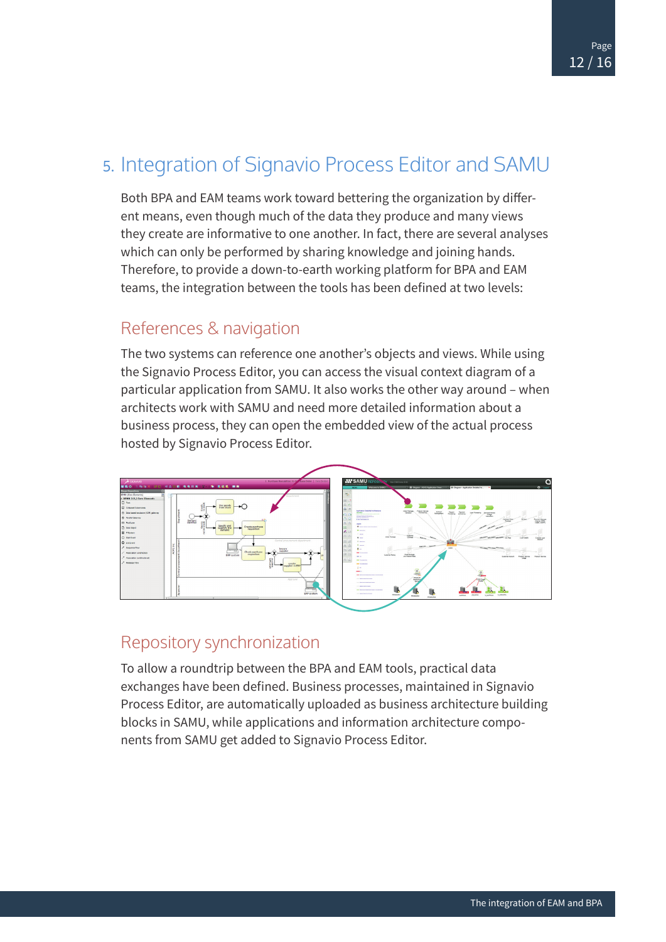### <span id="page-11-0"></span>5. Integration of Signavio Process Editor and SAMU

Both BPA and EAM teams work toward bettering the organization by different means, even though much of the data they produce and many views they create are informative to one another. In fact, there are several analyses which can only be performed by sharing knowledge and joining hands. Therefore, to provide a down-to-earth working platform for BPA and EAM teams, the integration between the tools has been defined at two levels:

#### References & navigation

The two systems can reference one another's objects and views. While using the Signavio Process Editor, you can access the visual context diagram of a particular application from SAMU. It also works the other way around – when architects work with SAMU and need more detailed information about a business process, they can open the embedded view of the actual process hosted by Signavio Process Editor.



#### Repository synchronization

To allow a roundtrip between the BPA and EAM tools, practical data exchanges have been defined. Business processes, maintained in Signavio Process Editor, are automatically uploaded as business architecture building blocks in SAMU, while applications and information architecture components from SAMU get added to Signavio Process Editor.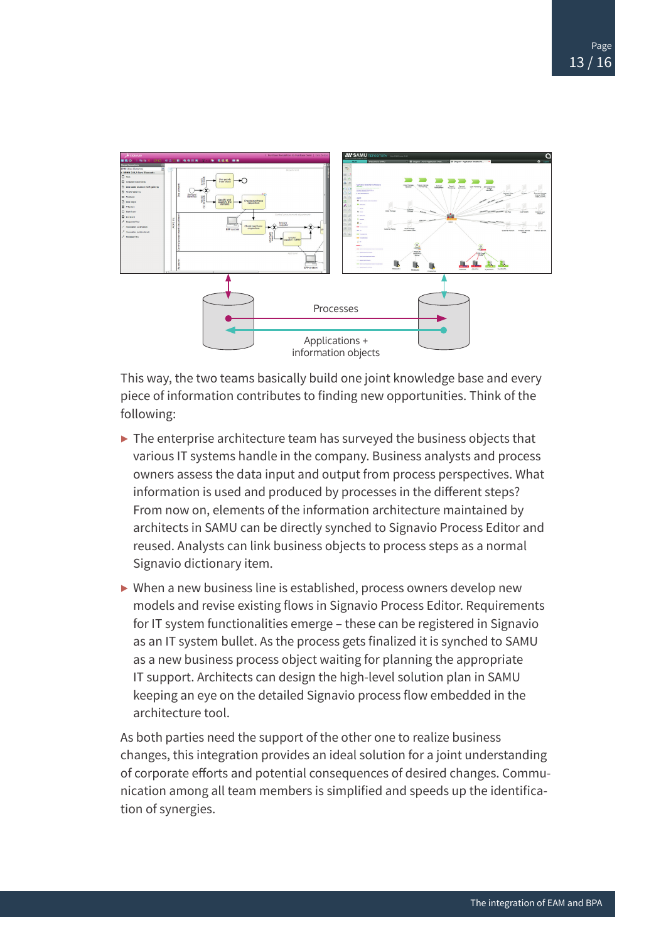

This way, the two teams basically build one joint knowledge base and every piece of information contributes to finding new opportunities. Think of the following:

- $\triangleright$  The enterprise architecture team has surveyed the business objects that various IT systems handle in the company. Business analysts and process owners assess the data input and output from process perspectives. What information is used and produced by processes in the different steps? From now on, elements of the information architecture maintained by architects in SAMU can be directly synched to Signavio Process Editor and reused. Analysts can link business objects to process steps as a normal Signavio dictionary item.
- $\triangleright$  When a new business line is established, process owners develop new models and revise existing flows in Signavio Process Editor. Requirements for IT system functionalities emerge – these can be registered in Signavio as an IT system bullet. As the process gets finalized it is synched to SAMU as a new business process object waiting for planning the appropriate IT support. Architects can design the high-level solution plan in SAMU keeping an eye on the detailed Signavio process flow embedded in the architecture tool.

As both parties need the support of the other one to realize business changes, this integration provides an ideal solution for a joint understanding of corporate efforts and potential consequences of desired changes. Communication among all team members is simplified and speeds up the identification of synergies.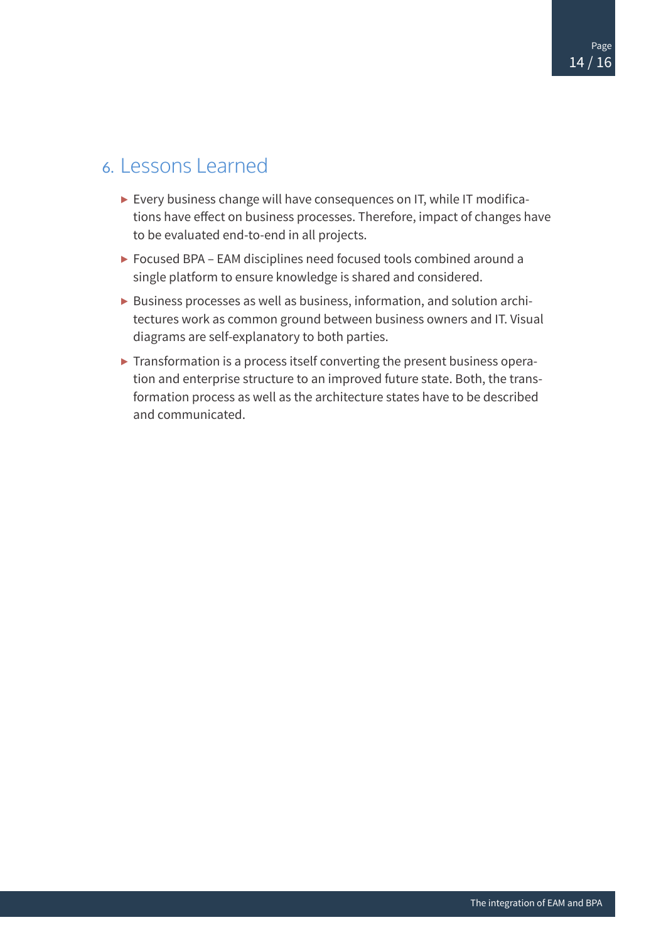### <span id="page-13-0"></span>6. Lessons Learned

- ▶ Every business change will have consequences on IT, while IT modifications have effect on business processes. Therefore, impact of changes have to be evaluated end-to-end in all projects.
- ▶ Focused BPA EAM disciplines need focused tools combined around a single platform to ensure knowledge is shared and considered.
- ▶ Business processes as well as business, information, and solution architectures work as common ground between business owners and IT. Visual diagrams are self-explanatory to both parties.
- ▶ Transformation is a process itself converting the present business operation and enterprise structure to an improved future state. Both, the transformation process as well as the architecture states have to be described and communicated.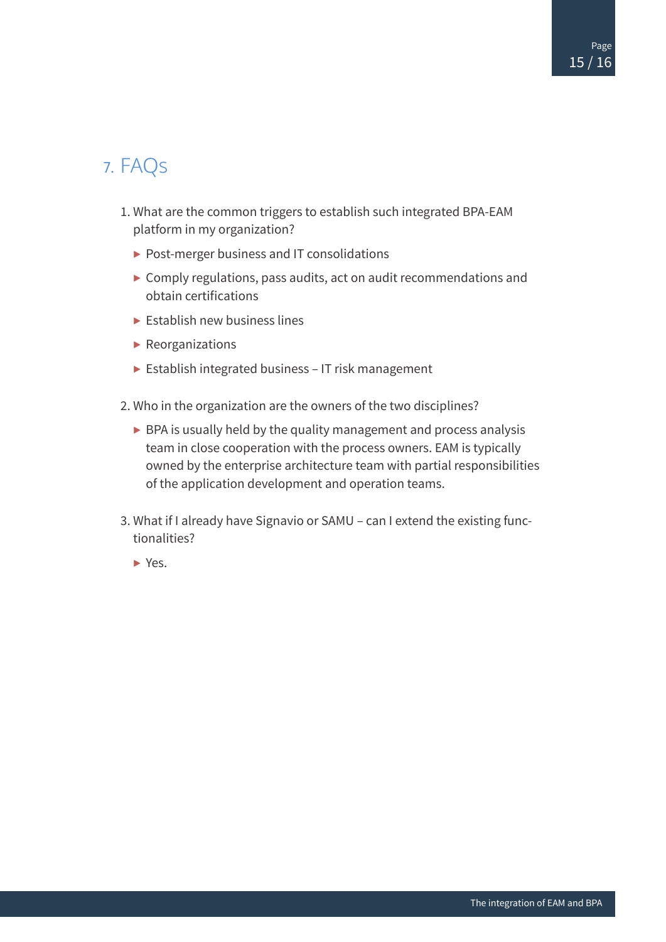# <span id="page-14-0"></span>7. FAQs

- 1. What are the common triggers to establish such integrated BPA-EAM platform in my organization?
	- ▶ Post-merger business and IT consolidations
	- $\triangleright$  Comply regulations, pass audits, act on audit recommendations and obtain certifications
	- $\blacktriangleright$  Establish new business lines
	- ▶ Reorganizations
	- ▶ Establish integrated business IT risk management
- 2. Who in the organization are the owners of the two disciplines?
	- $\triangleright$  BPA is usually held by the quality management and process analysis team in close cooperation with the process owners. EAM is typically owned by the enterprise architecture team with partial responsibilities of the application development and operation teams.
- 3. What if I already have Signavio or SAMU can I extend the existing functionalities?
	- ▶ Yes.